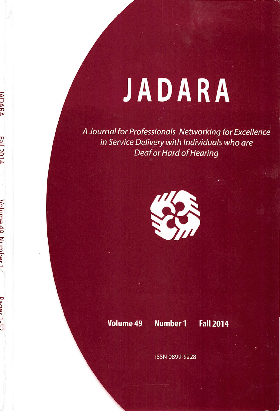## JADARA

A Journal for Professionals Networking for Excellence in Service Delivery with Individuals who ore Deaf or Hard of Hearing



IANARA

Volume 49 Numher

Danac<sub>1-57</sub>

Volume 49 Number 1 Fall 2014

ISSN 0899-9228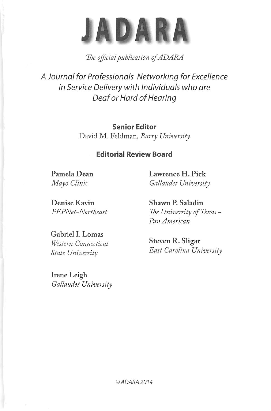

The official publication of ADARA

A Journal for Professionals Networking for Excellence in Service Delivery with Individuals who are Deaf or Hard of Hearing

> Senior Editor David M. Feldman, Barry University

## Editorial Review Board

Pamela Dean Mayo Clinic

Lawrence H. Pick Gallaudet University

Denise Kavin PEPNet-Northeast

Gabriel I. Lomas Western Connecticut State University

Irene Leigh Gallaudet University Shawn P. Saladin The University of Texas -Pan American

Steven R. Sligar East Carolina University